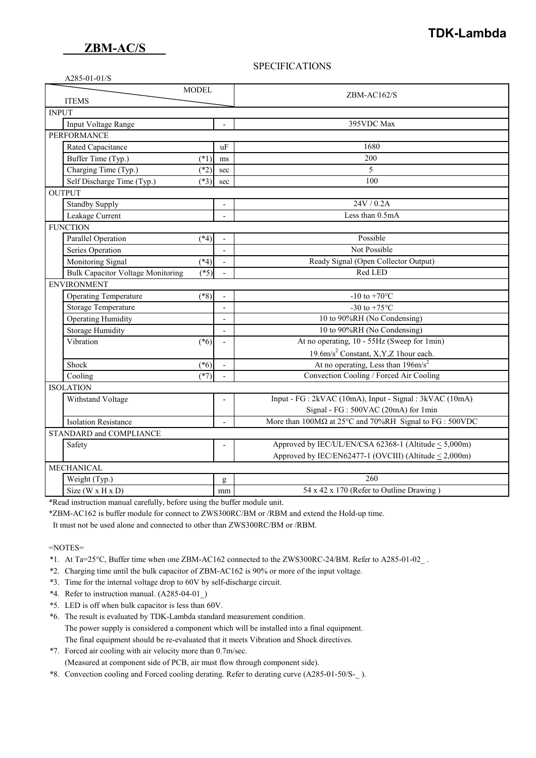#### **SPECIFICATIONS**

| A285-01-01/S |  |
|--------------|--|
|--------------|--|

| <b>MODEL</b>                                       |                          | $ZBM-ACl62/S$                                                  |  |
|----------------------------------------------------|--------------------------|----------------------------------------------------------------|--|
| <b>ITEMS</b><br><b>INPUT</b>                       |                          |                                                                |  |
| Input Voltage Range                                |                          | 395VDC Max                                                     |  |
| PERFORMANCE                                        |                          |                                                                |  |
| Rated Capacitance<br><i>uF</i>                     |                          | 1680                                                           |  |
| Buffer Time (Typ.)<br>$(*1)$                       | ms                       | 200                                                            |  |
| Charging Time (Typ.)<br>$(*2)$                     | sec                      | 5                                                              |  |
| Self Discharge Time (Typ.)<br>$(*3)$               | sec                      | 100                                                            |  |
| <b>OUTPUT</b>                                      |                          |                                                                |  |
| <b>Standby Supply</b>                              | $\overline{a}$           | 24V / 0.2A                                                     |  |
| Leakage Current                                    |                          | Less than 0.5mA                                                |  |
| <b>FUNCTION</b>                                    |                          |                                                                |  |
| Parallel Operation<br>$(*4)$                       |                          | Possible                                                       |  |
| Series Operation                                   | $\overline{\phantom{a}}$ | Not Possible                                                   |  |
| Monitoring Signal<br>$(*4)$                        |                          | Ready Signal (Open Collector Output)                           |  |
| <b>Bulk Capacitor Voltage Monitoring</b><br>$(*5)$ |                          | Red LED                                                        |  |
| <b>ENVIRONMENT</b>                                 |                          |                                                                |  |
| <b>Operating Temperature</b><br>$(*8)$             |                          | -10 to +70 $^{\circ}$ C                                        |  |
| Storage Temperature                                |                          | -30 to +75 $^{\circ}$ C                                        |  |
| Operating Humidity                                 | $\overline{\phantom{a}}$ | 10 to 90%RH (No Condensing)                                    |  |
| <b>Storage Humidity</b>                            | $\overline{\phantom{a}}$ | 10 to 90%RH (No Condensing)                                    |  |
| Vibration<br>$(*6)$                                |                          | At no operating, 10 - 55Hz (Sweep for 1min)                    |  |
|                                                    |                          | 19.6m/s <sup>2</sup> Constant, X,Y,Z 1hour each.               |  |
| Shock<br>$(*6)$                                    |                          | At no operating, Less than $196 \text{m/s}^2$                  |  |
| $(*7)$<br>Cooling                                  |                          | Convection Cooling / Forced Air Cooling                        |  |
| <b>ISOLATION</b>                                   |                          |                                                                |  |
| Withstand Voltage                                  |                          | Input - FG : 2kVAC (10mA), Input - Signal : 3kVAC (10mA)       |  |
|                                                    |                          | Signal - FG : 500VAC (20mA) for 1min                           |  |
| <b>Isolation Resistance</b>                        | $\overline{\phantom{a}}$ | More than $100M\Omega$ at 25°C and 70%RH Signal to FG : 500VDC |  |
| STANDARD and COMPLIANCE                            |                          |                                                                |  |
| Safety                                             |                          | Approved by IEC/UL/EN/CSA 62368-1 (Altitude $\leq$ 5,000m)     |  |
|                                                    |                          | Approved by IEC/EN62477-1 (OVCIII) (Altitude $\leq$ 2,000m)    |  |
| MECHANICAL                                         |                          |                                                                |  |
| Weight (Typ.)                                      | g                        | 260                                                            |  |
| Size ( $W \times H \times D$ )                     | mm                       | 54 x 42 x 170 (Refer to Outline Drawing)                       |  |

\*Read instruction manual carefully, before using the buffer module unit.

\*ZBM-AC162 is buffer module for connect to ZWS300RC/BM or /RBM and extend the Hold-up time.

It must not be used alone and connected to other than ZWS300RC/BM or /RBM.

=NOTES=

- \*1. At Ta=25°C, Buffer time when one ZBM-AC162 connected to the ZWS300RC-24/BM. Refer to A285-01-02\_ .
- \*2. Charging time until the bulk capacitor of ZBM-AC162 is 90% or more of the input voltage.
- \*3. Time for the internal voltage drop to 60V by self-discharge circuit.
- \*4. Refer to instruction manual. (A285-04-01\_)
- \*5. LED is off when bulk capacitor is less than 60V.
- \*6. The result is evaluated by TDK-Lambda standard measurement condition. The power supply is considered a component which will be installed into a final equipment. The final equipment should be re-evaluated that it meets Vibration and Shock directives.
- \*7. Forced air cooling with air velocity more than 0.7m/sec. (Measured at component side of PCB, air must flow through component side).
- \*8. Convection cooling and Forced cooling derating. Refer to derating curve (A285-01-50/S-\_ ).